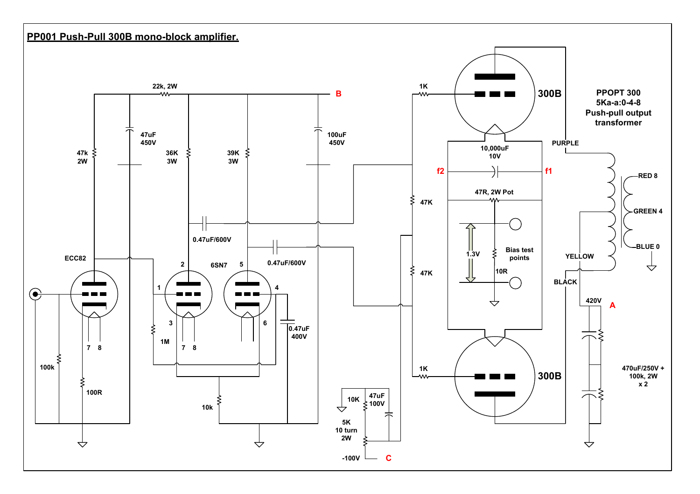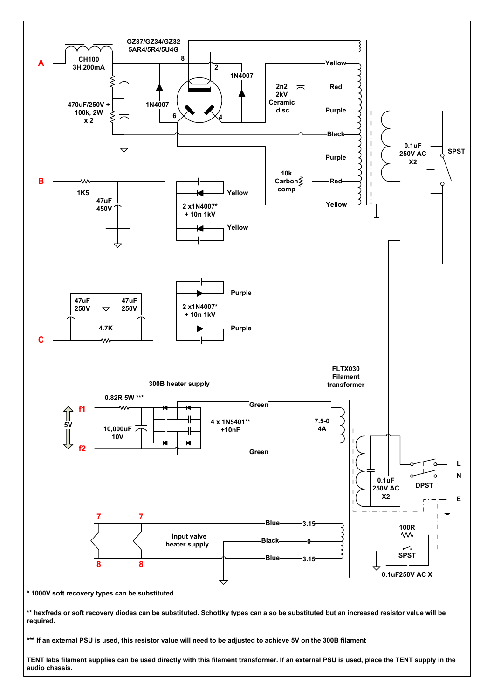

TENT labs filament supplies can be used directly with this filament transformer. If an external PSU is used, place the TENT supply in the audio chassis.